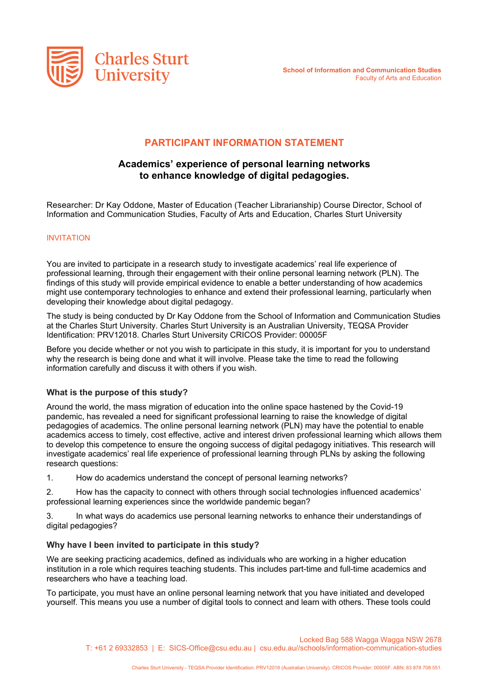

# **PARTICIPANT INFORMATION STATEMENT**

# **Academics' experience of personal learning networks to enhance knowledge of digital pedagogies.**

Researcher: Dr Kay Oddone, Master of Education (Teacher Librarianship) Course Director, School of Information and Communication Studies, Faculty of Arts and Education, Charles Sturt University

#### INVITATION

You are invited to participate in a research study to investigate academics' real life experience of professional learning, through their engagement with their online personal learning network (PLN). The findings of this study will provide empirical evidence to enable a better understanding of how academics might use contemporary technologies to enhance and extend their professional learning, particularly when developing their knowledge about digital pedagogy.

The study is being conducted by Dr Kay Oddone from the School of Information and Communication Studies at the Charles Sturt University. Charles Sturt University is an Australian University, TEQSA Provider Identification: PRV12018. Charles Sturt University CRICOS Provider: 00005F

Before you decide whether or not you wish to participate in this study, it is important for you to understand why the research is being done and what it will involve. Please take the time to read the following information carefully and discuss it with others if you wish.

### **What is the purpose of this study?**

Around the world, the mass migration of education into the online space hastened by the Covid-19 pandemic, has revealed a need for significant professional learning to raise the knowledge of digital pedagogies of academics. The online personal learning network (PLN) may have the potential to enable academics access to timely, cost effective, active and interest driven professional learning which allows them to develop this competence to ensure the ongoing success of digital pedagogy initiatives. This research will investigate academics' real life experience of professional learning through PLNs by asking the following research questions:

1. How do academics understand the concept of personal learning networks?

2. How has the capacity to connect with others through social technologies influenced academics' professional learning experiences since the worldwide pandemic began?

3. In what ways do academics use personal learning networks to enhance their understandings of digital pedagogies?

### **Why have I been invited to participate in this study?**

We are seeking practicing academics, defined as individuals who are working in a higher education institution in a role which requires teaching students. This includes part-time and full-time academics and researchers who have a teaching load.

To participate, you must have an online personal learning network that you have initiated and developed yourself. This means you use a number of digital tools to connect and learn with others. These tools could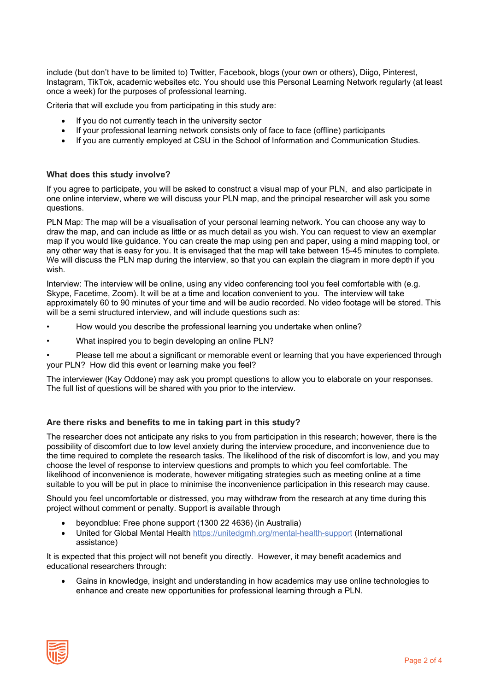include (but don't have to be limited to) Twitter, Facebook, blogs (your own or others), Diigo, Pinterest, Instagram, TikTok, academic websites etc. You should use this Personal Learning Network regularly (at least once a week) for the purposes of professional learning.

Criteria that will exclude you from participating in this study are:

- If you do not currently teach in the university sector
- If your professional learning network consists only of face to face (offline) participants
- If you are currently employed at CSU in the School of Information and Communication Studies.

#### **What does this study involve?**

If you agree to participate, you will be asked to construct a visual map of your PLN, and also participate in one online interview, where we will discuss your PLN map, and the principal researcher will ask you some questions.

PLN Map: The map will be a visualisation of your personal learning network. You can choose any way to draw the map, and can include as little or as much detail as you wish. You can request to view an exemplar map if you would like guidance. You can create the map using pen and paper, using a mind mapping tool, or any other way that is easy for you. It is envisaged that the map will take between 15-45 minutes to complete. We will discuss the PLN map during the interview, so that you can explain the diagram in more depth if you wish.

Interview: The interview will be online, using any video conferencing tool you feel comfortable with (e.g. Skype, Facetime, Zoom). It will be at a time and location convenient to you. The interview will take approximately 60 to 90 minutes of your time and will be audio recorded. No video footage will be stored. This will be a semi structured interview, and will include questions such as:

- How would you describe the professional learning you undertake when online?
- What inspired you to begin developing an online PLN?

• Please tell me about a significant or memorable event or learning that you have experienced through your PLN? How did this event or learning make you feel?

The interviewer (Kay Oddone) may ask you prompt questions to allow you to elaborate on your responses. The full list of questions will be shared with you prior to the interview.

### **Are there risks and benefits to me in taking part in this study?**

The researcher does not anticipate any risks to you from participation in this research; however, there is the possibility of discomfort due to low level anxiety during the interview procedure, and inconvenience due to the time required to complete the research tasks. The likelihood of the risk of discomfort is low, and you may choose the level of response to interview questions and prompts to which you feel comfortable. The likelihood of inconvenience is moderate, however mitigating strategies such as meeting online at a time suitable to you will be put in place to minimise the inconvenience participation in this research may cause.

Should you feel uncomfortable or distressed, you may withdraw from the research at any time during this project without comment or penalty. Support is available through

- beyondblue: Free phone support (1300 22 4636) (in Australia)
- United for Global Mental Health<https://unitedgmh.org/mental-health-support> (International assistance)

It is expected that this project will not benefit you directly. However, it may benefit academics and educational researchers through:

• Gains in knowledge, insight and understanding in how academics may use online technologies to enhance and create new opportunities for professional learning through a PLN.

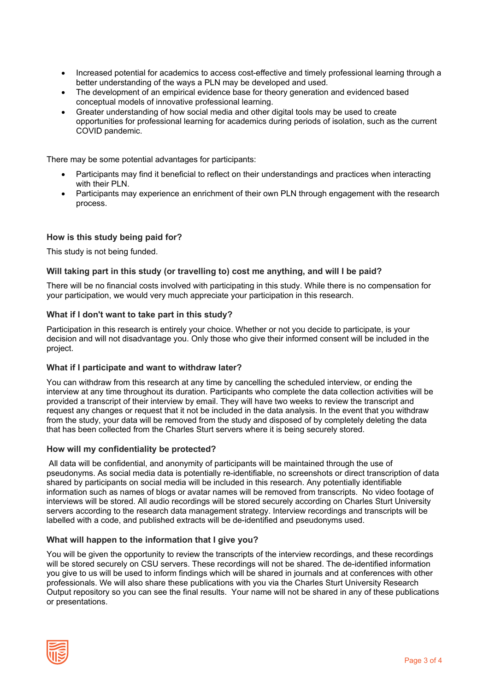- Increased potential for academics to access cost-effective and timely professional learning through a better understanding of the ways a PLN may be developed and used.
- The development of an empirical evidence base for theory generation and evidenced based conceptual models of innovative professional learning.
- Greater understanding of how social media and other digital tools may be used to create opportunities for professional learning for academics during periods of isolation, such as the current COVID pandemic.

There may be some potential advantages for participants:

- Participants may find it beneficial to reflect on their understandings and practices when interacting with their PLN.
- Participants may experience an enrichment of their own PLN through engagement with the research process.

## **How is this study being paid for?**

This study is not being funded.

### **Will taking part in this study (or travelling to) cost me anything, and will I be paid?**

There will be no financial costs involved with participating in this study. While there is no compensation for your participation, we would very much appreciate your participation in this research.

#### **What if I don't want to take part in this study?**

Participation in this research is entirely your choice. Whether or not you decide to participate, is your decision and will not disadvantage you. Only those who give their informed consent will be included in the project.

### **What if I participate and want to withdraw later?**

You can withdraw from this research at any time by cancelling the scheduled interview, or ending the interview at any time throughout its duration. Participants who complete the data collection activities will be provided a transcript of their interview by email. They will have two weeks to review the transcript and request any changes or request that it not be included in the data analysis. In the event that you withdraw from the study, your data will be removed from the study and disposed of by completely deleting the data that has been collected from the Charles Sturt servers where it is being securely stored.

#### **How will my confidentiality be protected?**

All data will be confidential, and anonymity of participants will be maintained through the use of pseudonyms. As social media data is potentially re-identifiable, no screenshots or direct transcription of data shared by participants on social media will be included in this research. Any potentially identifiable information such as names of blogs or avatar names will be removed from transcripts. No video footage of interviews will be stored. All audio recordings will be stored securely according on Charles Sturt University servers according to the research data management strategy. Interview recordings and transcripts will be labelled with a code, and published extracts will be de-identified and pseudonyms used.

### **What will happen to the information that I give you?**

You will be given the opportunity to review the transcripts of the interview recordings, and these recordings will be stored securely on CSU servers. These recordings will not be shared. The de-identified information you give to us will be used to inform findings which will be shared in journals and at conferences with other professionals. We will also share these publications with you via the Charles Sturt University Research Output repository so you can see the final results. Your name will not be shared in any of these publications or presentations.